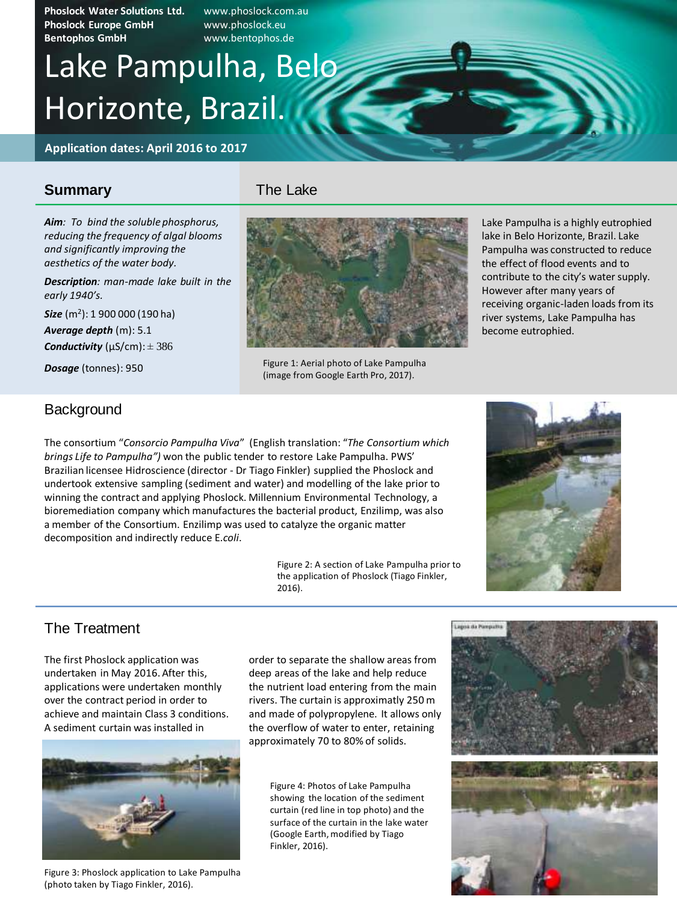**Phoslock Water Solutions Ltd.** www.phoslock.com.au **Phoslock Europe GmbH** www.phoslock.eu **Bentophos GmbH** www.bentophos.de

# Horizonte, Brazil. Lake Pampulha, Belo

**Application dates: April 2016 to 2017**

#### **Summary**

The Lake

*Aim: To bind the soluble phosphorus, reducing the frequency of algal blooms and significantly improving the aesthetics of the water body.*

*Description: man-made lake built in the early 1940's.*

*Size* (m<sup>2</sup> ): 1 900 000 (190 ha) *Average depth* (m): 5.1 *Conductivity* ( $\mu$ S/cm):  $\pm$  386

*Dosage* (tonnes): 950



Figure 1: Aerial photo of Lake Pampulha (image from Google Earth Pro, 2017).

Lake Pampulha is a highly eutrophied lake in Belo Horizonte, Brazil. Lake Pampulha was constructed to reduce the effect of flood events and to contribute to the city's water supply. However after many years of receiving organic-laden loads from its river systems, Lake Pampulha has become eutrophied.

#### **Background**

The consortium "*Consorcio Pampulha Viva*" (English translation: "*The Consortium which brings Life to Pampulha")* won the public tender to restore Lake Pampulha. PWS' Brazilian licensee Hidroscience (director - Dr Tiago Finkler) supplied the Phoslock and undertook extensive sampling (sediment and water) and modelling of the lake prior to winning the contract and applying Phoslock. Millennium Environmental Technology, a bioremediation company which manufactures the bacterial product, Enzilimp, was also a member of the Consortium. Enzilimp was used to catalyze the organic matter decomposition and indirectly reduce E*.coli*.

> Figure 2: A section of Lake Pampulha prior to the application of Phoslock (Tiago Finkler, 2016).



#### The Treatment

The first Phoslock application was undertaken in May 2016. After this, applications were undertaken monthly over the contract period in order to achieve and maintain Class 3 conditions. A sediment curtain was installed in



Figure 3: Phoslock application to Lake Pampulha (photo taken by Tiago Finkler, 2016).

order to separate the shallow areas from deep areas of the lake and help reduce the nutrient load entering from the main rivers. The curtain is approximatly 250 m and made of polypropylene. It allows only the overflow of water to enter, retaining approximately 70 to 80% of solids.

> Figure 4: Photos of Lake Pampulha showing the location of the sediment curtain (red line in top photo) and the surface of the curtain in the lake water (Google Earth, modified by Tiago Finkler, 2016).